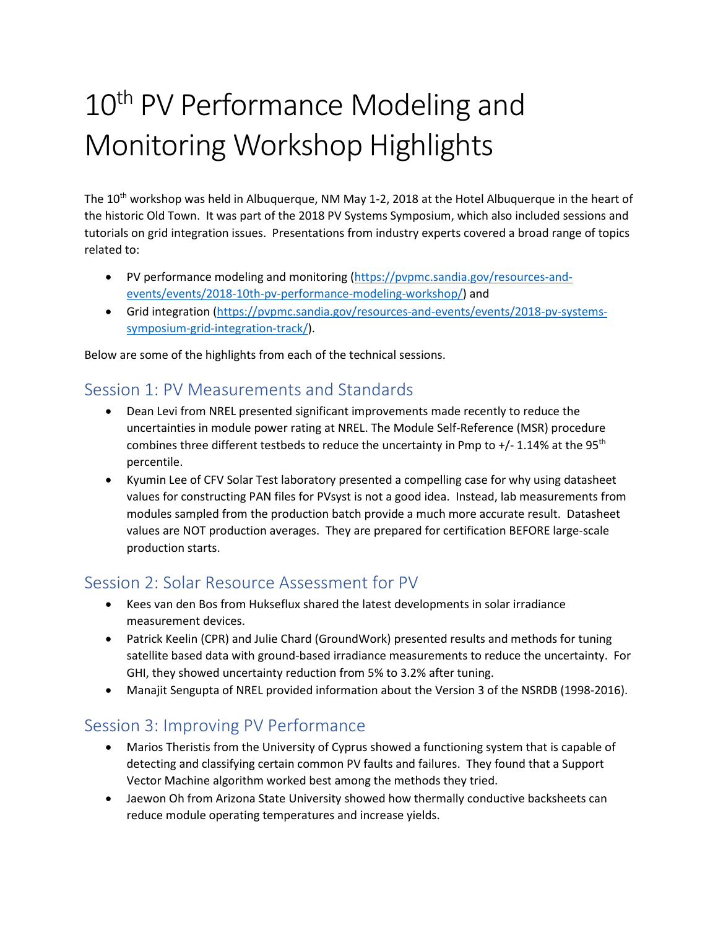# 10<sup>th</sup> PV Performance Modeling and Monitoring Workshop Highlights

The 10<sup>th</sup> workshop was held in Albuquerque, NM May 1-2, 2018 at the Hotel Albuquerque in the heart of the historic Old Town. It was part of the 2018 PV Systems Symposium, which also included sessions and tutorials on grid integration issues. Presentations from industry experts covered a broad range of topics related to:

- PV performance modeling and monitoring [\(https://pvpmc.sandia.gov/resources-and](https://pvpmc.sandia.gov/resources-and-events/events/2018-10th-pv-performance-modeling-workshop/)[events/events/2018-10th-pv-performance-modeling-workshop/\)](https://pvpmc.sandia.gov/resources-and-events/events/2018-10th-pv-performance-modeling-workshop/) and
- Grid integration [\(https://pvpmc.sandia.gov/resources-and-events/events/2018-pv-systems](https://pvpmc.sandia.gov/resources-and-events/events/2018-pv-systems-symposium-grid-integration-track/)[symposium-grid-integration-track/\)](https://pvpmc.sandia.gov/resources-and-events/events/2018-pv-systems-symposium-grid-integration-track/).

Below are some of the highlights from each of the technical sessions.

#### Session 1: PV Measurements and Standards

- Dean Levi from NREL presented significant improvements made recently to reduce the uncertainties in module power rating at NREL. The Module Self-Reference (MSR) procedure combines three different testbeds to reduce the uncertainty in Pmp to  $+/$  1.14% at the 95<sup>th</sup> percentile.
- Kyumin Lee of CFV Solar Test laboratory presented a compelling case for why using datasheet values for constructing PAN files for PVsyst is not a good idea. Instead, lab measurements from modules sampled from the production batch provide a much more accurate result. Datasheet values are NOT production averages. They are prepared for certification BEFORE large-scale production starts.

#### Session 2: Solar Resource Assessment for PV

- Kees van den Bos from Hukseflux shared the latest developments in solar irradiance measurement devices.
- Patrick Keelin (CPR) and Julie Chard (GroundWork) presented results and methods for tuning satellite based data with ground-based irradiance measurements to reduce the uncertainty. For GHI, they showed uncertainty reduction from 5% to 3.2% after tuning.
- Manajit Sengupta of NREL provided information about the Version 3 of the NSRDB (1998-2016).

#### Session 3: Improving PV Performance

- Marios Theristis from the University of Cyprus showed a functioning system that is capable of detecting and classifying certain common PV faults and failures. They found that a Support Vector Machine algorithm worked best among the methods they tried.
- Jaewon Oh from Arizona State University showed how thermally conductive backsheets can reduce module operating temperatures and increase yields.